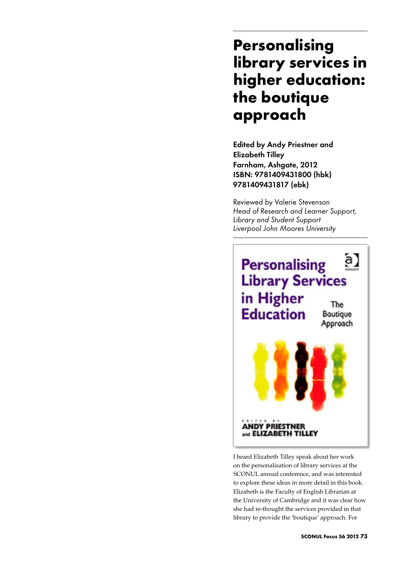## **Personalising library services in higher education: the boutique approach**

Edited by Andy Priestner and Elizabeth Tilley Farnham, Ashgate, 2012 ISBN: 9781409431800 (hbk) 9781409431817 (ebk)

Reviewed by Valerie Stevenson *Head of Research and Learner Support, Library and Student Support Liverpool John Moores University*



I heard Elizabeth Tilley speak about her work on the personalisation of library services at the SCONUL annual conference, and was interested to explore these ideas in more detail in this book. Elizabeth is the Faculty of English Librarian at the University of Cambridge and it was clear how she had re-thought the services provided in that library to provide the 'boutique' approach. For